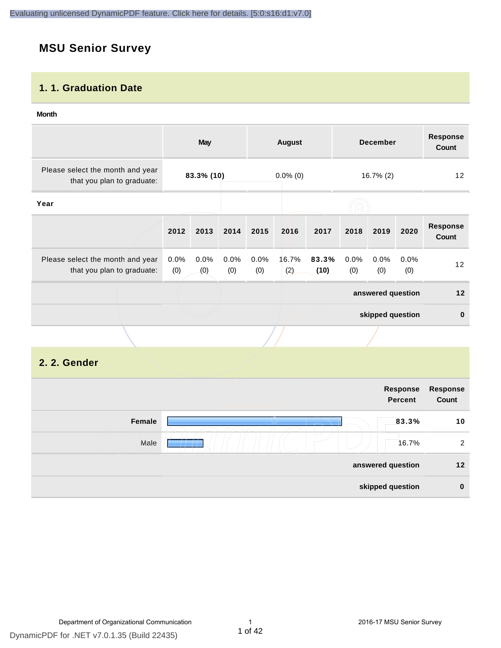## **MSU Senior Survey**

#### **1. 1. Graduation Date**

#### **Month**

|                                                                |                | May         |             |             | <b>August</b> |               |             | <b>December</b>   |             | <b>Response</b><br>Count |
|----------------------------------------------------------------|----------------|-------------|-------------|-------------|---------------|---------------|-------------|-------------------|-------------|--------------------------|
| Please select the month and year<br>that you plan to graduate: |                | 83.3% (10)  |             |             | $0.0\%$ (0)   |               |             | $16.7\%$ (2)      |             | 12                       |
| Year                                                           |                |             |             |             |               |               |             |                   |             |                          |
|                                                                | 2012           | 2013        | 2014        | 2015        | 2016          | 2017          | 2018        | 2019              | 2020        | <b>Response</b><br>Count |
| Please select the month and year<br>that you plan to graduate: | $0.0\%$<br>(0) | 0.0%<br>(0) | 0.0%<br>(0) | 0.0%<br>(0) | 16.7%<br>(2)  | 83.3%<br>(10) | 0.0%<br>(0) | $0.0\%$<br>(0)    | 0.0%<br>(0) | 12                       |
|                                                                |                |             |             |             |               |               |             | answered question |             | 12                       |
|                                                                |                |             |             |             |               |               |             | skipped question  |             | $\mathbf{0}$             |
|                                                                |                |             |             |             |               |               |             |                   |             |                          |

#### **2. 2. Gender**

| Response<br>Count | Response<br><b>Percent</b> |        |
|-------------------|----------------------------|--------|
| 10                | 83.3%                      | Female |
| 2                 | 16.7%                      | Male   |
| 12 <sub>2</sub>   | answered question          |        |
| $\bf{0}$          | skipped question           |        |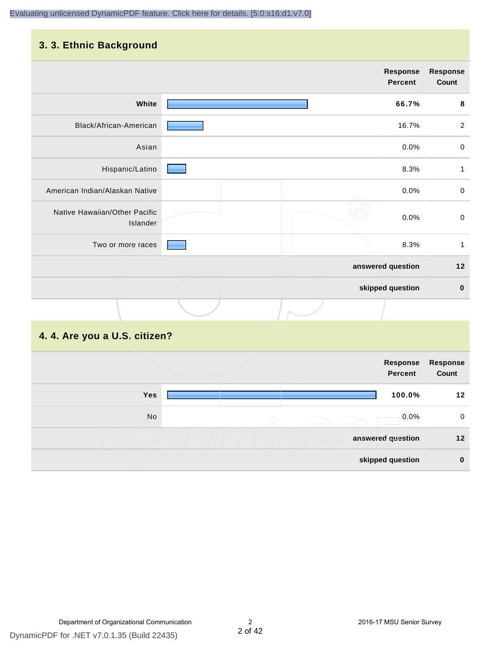### **3. 3. Ethnic Background**

|                                           | <b>Response</b><br><b>Percent</b> | <b>Response</b><br>Count |
|-------------------------------------------|-----------------------------------|--------------------------|
| White                                     | 66.7%                             | $\bf8$                   |
| Black/African-American                    | 16.7%                             | $\overline{2}$           |
| Asian                                     | 0.0%                              | $\pmb{0}$                |
| Hispanic/Latino                           | 8.3%                              | $\mathbf{1}$             |
| American Indian/Alaskan Native            | 0.0%                              | $\mathbf 0$              |
| Native Hawaiian/Other Pacific<br>Islander | 0.0%                              | $\mathbf 0$              |
| Two or more races                         | 8.3%                              | 1                        |
|                                           | answered question                 | $12$                     |
|                                           | skipped question                  | $\bf{0}$                 |
|                                           |                                   |                          |

## **4. 4. Are you a U.S. citizen?**

|     |            | Response<br>Percent | Response<br>Count |
|-----|------------|---------------------|-------------------|
| Yes |            | 100.0%              | 12                |
| No  | $\bigcirc$ | $0.0\%$             | 0                 |
|     |            | answered question   | $12 \,$           |
|     |            | skipped question    | $\bf{0}$          |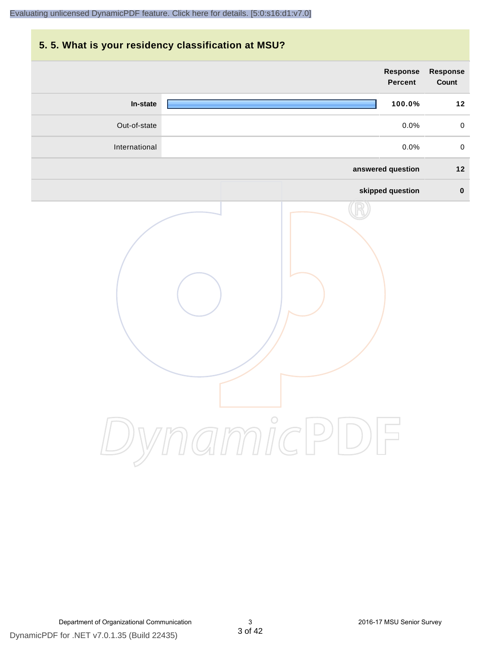### **5. 5. What is your residency classification at MSU?**

|               | <b>Response</b><br>Percent | Response<br>Count   |
|---------------|----------------------------|---------------------|
| In-state      | 100.0%                     | $12$                |
| Out-of-state  | 0.0%                       | $\mathsf{O}\xspace$ |
| International | 0.0%                       | $\mathbf 0$         |
|               | answered question          | $12$                |
|               | skipped question           | $\pmb{0}$           |
|               | ynamicPD                   |                     |

Department of Organizational Communication 3 2016-17 MSU Senior Survey

DynamicPDF for .NET v7.0.1.35 (Build 22435)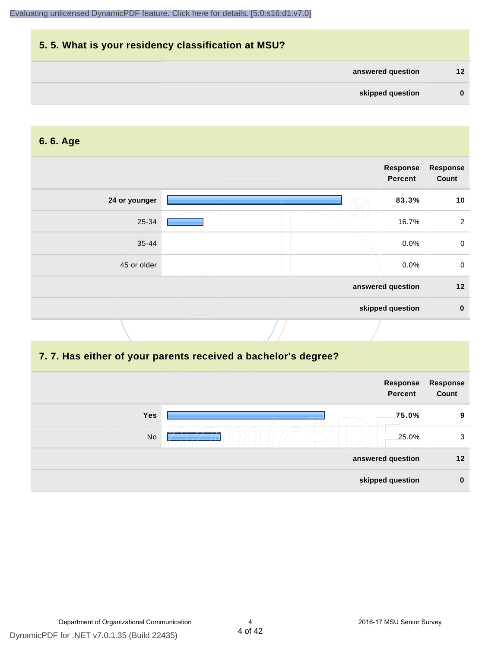## **5. 5. What is your residency classification at MSU? answered question 12 skipped question 0**

#### **6. 6. Age**

|               | Response<br><b>Percent</b> | <b>Response</b><br>Count |
|---------------|----------------------------|--------------------------|
| 24 or younger | 83.3%                      | 10                       |
| 25-34         | 16.7%                      | 2                        |
| $35 - 44$     | $0.0\%$                    | $\mathbf 0$              |
| 45 or older   | 0.0%                       | $\mathbf 0$              |
|               | answered question          | 12                       |
|               | skipped question           | $\bf{0}$                 |

#### **7. 7. Has either of your parents received a bachelor's degree?**

|     | Response<br>Percent | Response<br>Count |
|-----|---------------------|-------------------|
| Yes | 75.0%               | 9                 |
| No  | 25.0%               | 3                 |
|     | answered question   | 12 <sub>2</sub>   |
|     | skipped question    | $\bf{0}$          |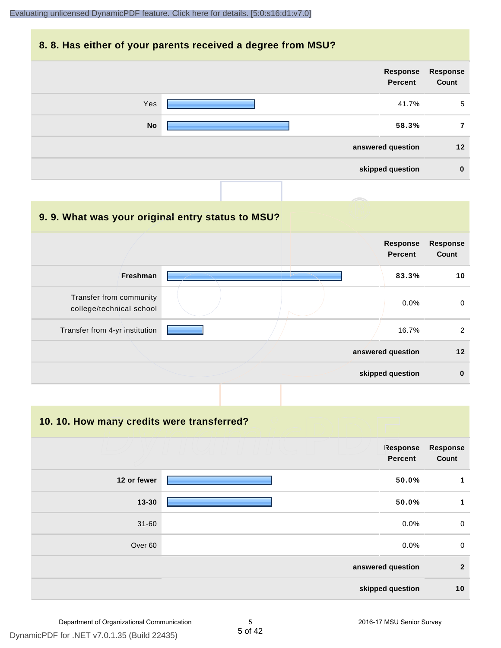#### **8. 8. Has either of your parents received a degree from MSU?**

| <b>Response</b><br>Count | Response<br>Percent |           |
|--------------------------|---------------------|-----------|
| 5                        | 41.7%               | Yes       |
|                          | 58.3%               | <b>No</b> |
| 12                       | answered question   |           |
| $\bf{0}$                 | skipped question    |           |

| 9.9. What was your original entry status to MSU?    |                                   |                          |
|-----------------------------------------------------|-----------------------------------|--------------------------|
|                                                     | <b>Response</b><br><b>Percent</b> | <b>Response</b><br>Count |
| <b>Freshman</b>                                     | 83.3%                             | 10                       |
| Transfer from community<br>college/technical school | 0.0%                              | $\mathbf 0$              |
| Transfer from 4-yr institution                      | 16.7%                             | 2                        |
|                                                     | answered question                 | 12                       |
|                                                     | skipped question                  | $\bf{0}$                 |

**10. 10. How many credits were transferred?**

|             | Response<br><b>Percent</b> | <b>Response</b><br>Count |
|-------------|----------------------------|--------------------------|
| 12 or fewer | 50.0%                      | $\mathbf{1}$             |
| $13 - 30$   | 50.0%                      | 1                        |
| $31 - 60$   | 0.0%                       | $\mathbf 0$              |
| Over 60     | 0.0%                       | $\mathbf 0$              |
|             | answered question          | $\mathbf{2}$             |
|             | skipped question           | 10                       |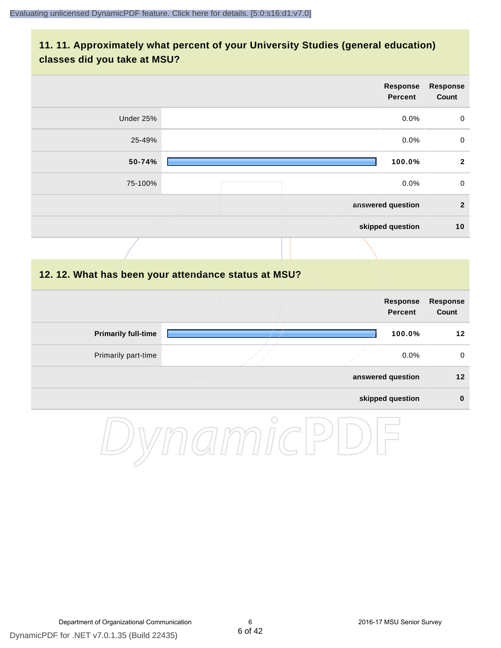### **11. 11. Approximately what percent of your University Studies (general education) classes did you take at MSU?**

| <b>Response</b><br>Count | Response<br><b>Percent</b> |           |
|--------------------------|----------------------------|-----------|
| $\mathbf 0$              | 0.0%                       | Under 25% |
| $\pmb{0}$                | $0.0\%$                    | 25-49%    |
| $\overline{2}$           | 100.0%                     | 50-74%    |
| $\mathbf 0$              | 0.0%                       | 75-100%   |
| $\overline{2}$           | answered question          |           |
| 10                       | skipped question           |           |
|                          |                            |           |

#### **12. 12. What has been your attendance status at MSU?**

|                            |  | <b>Response</b><br><b>Percent</b> | Response<br>Count |
|----------------------------|--|-----------------------------------|-------------------|
| <b>Primarily full-time</b> |  | 100.0%                            | 12                |
| Primarily part-time        |  | $0.0\%$                           | 0                 |
|                            |  | answered question                 | 12                |
|                            |  | skipped question                  | $\bf{0}$          |

DynamicPDF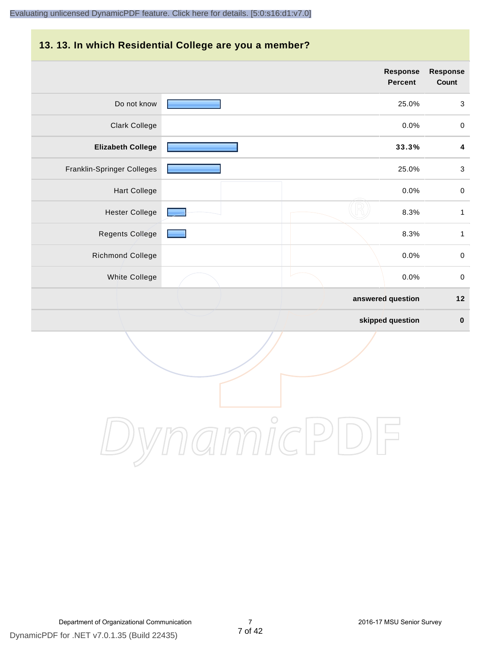## **13. 13. In which Residential College are you a member?**

|                            | <b>Response</b><br><b>Percent</b> | <b>Response</b><br>Count  |
|----------------------------|-----------------------------------|---------------------------|
| Do not know                | 25.0%                             | $\mathbf{3}$              |
| Clark College              | 0.0%                              | $\pmb{0}$                 |
| <b>Elizabeth College</b>   | 33.3%                             | 4                         |
| Franklin-Springer Colleges | 25.0%                             | $\ensuremath{\mathsf{3}}$ |
| <b>Hart College</b>        | 0.0%                              | $\pmb{0}$                 |
| <b>Hester College</b>      | 8.3%                              | $\mathbf{1}$              |
| <b>Regents College</b>     | 8.3%                              | $\mathbf{1}$              |
| <b>Richmond College</b>    | 0.0%                              | $\mathbf 0$               |
| White College              | 0.0%                              | $\mathbf 0$               |
|                            | answered question                 | $12$                      |
|                            | skipped question                  | $\pmb{0}$                 |

DynamicPDF

Department of Organizational Communication 7 2016-17 MSU Senior Survey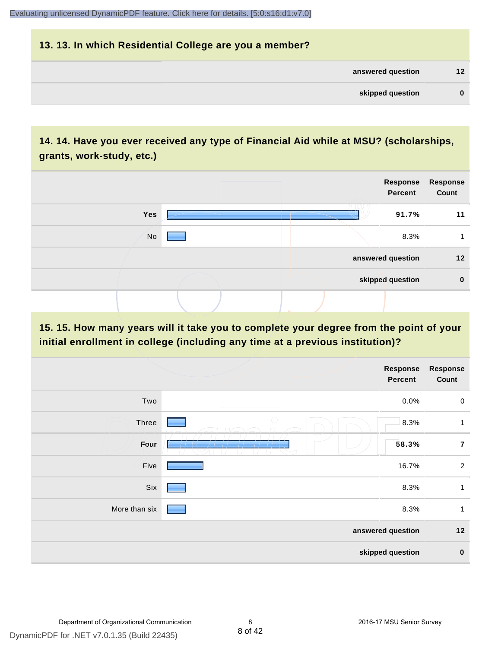## **13. 13. In which Residential College are you a member? answered question 12 skipped question 0**

## **14. 14. Have you ever received any type of Financial Aid while at MSU? (scholarships, grants, work-study, etc.)**



**15. 15. How many years will it take you to complete your degree from the point of your initial enrollment in college (including any time at a previous institution)?**

|               |                   | Response<br>Percent | <b>Response</b><br>Count |
|---------------|-------------------|---------------------|--------------------------|
| Two           |                   | 0.0%                | $\mathbf 0$              |
| Three         | $\bigcirc$        | 8.3%                | 1                        |
| Four          |                   | 58.3%               | $\overline{7}$           |
| Five          |                   | 16.7%               | $\overline{2}$           |
| Six           |                   | 8.3%                | $\mathbf{1}$             |
| More than six |                   | 8.3%                | $\mathbf{1}$             |
|               | answered question |                     | $12$                     |
|               | skipped question  |                     | $\pmb{0}$                |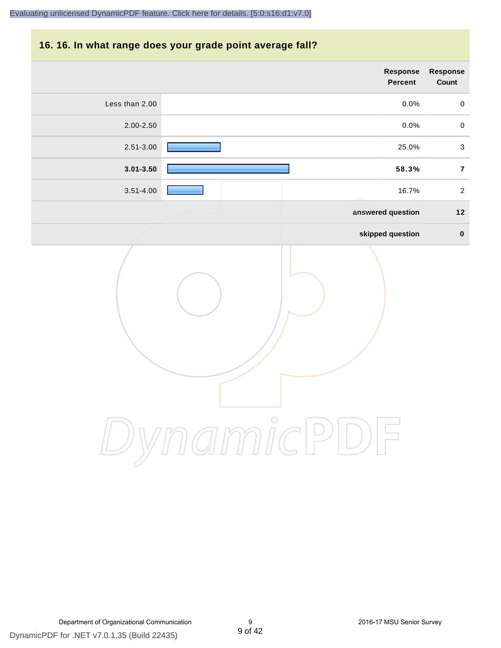#### **16. 16. In what range does your grade point average fall?**

|                | Response<br>Percent | Response<br>Count |
|----------------|---------------------|-------------------|
| Less than 2.00 | 0.0%                | $\pmb{0}$         |
| 2.00-2.50      | 0.0%                | $\mathbf 0$       |
| 2.51-3.00      | 25.0%               | $\mathfrak{S}$    |
| $3.01 - 3.50$  | 58.3%               | $\overline{7}$    |
| $3.51 - 4.00$  | 16.7%               | $\overline{2}$    |
|                | answered question   | $12$              |
|                | skipped question    | $\mathbf 0$       |
|                |                     |                   |

DynamicPDF for .NET v7.0.1.35 (Build 22435)

DynamicPDF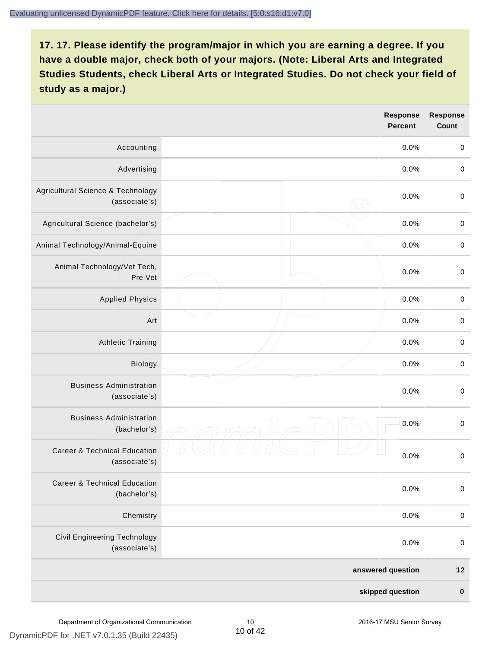|                                                          |            | <b>Response</b><br><b>Percent</b> | <b>Response</b><br><b>Count</b> |
|----------------------------------------------------------|------------|-----------------------------------|---------------------------------|
| Accounting                                               |            | 0.0%                              | $\mathbf 0$                     |
| Advertising                                              |            | 0.0%                              | $\pmb{0}$                       |
| Agricultural Science & Technology<br>(associate's)       |            | 0.0%                              | $\mathbf 0$                     |
| Agricultural Science (bachelor's)                        |            | 0.0%                              | $\mathbf 0$                     |
| Animal Technology/Animal-Equine                          |            | 0.0%                              | $\mathbf 0$                     |
| Animal Technology/Vet Tech,<br>Pre-Vet                   |            | 0.0%                              | $\mathbf 0$                     |
| <b>Applied Physics</b>                                   |            | 0.0%                              | $\mathbf 0$                     |
| Art                                                      |            | 0.0%                              | $\pmb{0}$                       |
| <b>Athletic Training</b>                                 |            | 0.0%                              | $\pmb{0}$                       |
| Biology                                                  |            | 0.0%                              | $\pmb{0}$                       |
| <b>Business Administration</b><br>(associate's)          |            | 0.0%                              | $\pmb{0}$                       |
| <b>Business Administration</b><br>(bachelor's)           | $\bigcirc$ | 0.0%                              | $\boldsymbol{0}$                |
| <b>Career &amp; Technical Education</b><br>(associate's) |            | 0.0%                              | $\mathbf 0$                     |
| <b>Career &amp; Technical Education</b><br>(bachelor's)  |            | 0.0%                              | $\mathbf 0$                     |
| Chemistry                                                |            | 0.0%                              | $\mathbf 0$                     |
| <b>Civil Engineering Technology</b><br>(associate's)     |            | 0.0%                              | $\mathbf 0$                     |
|                                                          |            | answered question                 | $12$                            |
|                                                          |            | skipped question                  | $\pmb{0}$                       |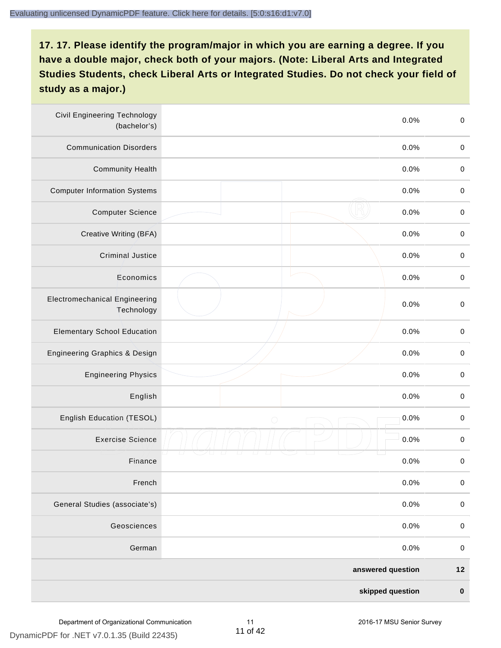| <b>Civil Engineering Technology</b><br>(bachelor's) |                   | $\,0\,$<br>0.0%     |
|-----------------------------------------------------|-------------------|---------------------|
| <b>Communication Disorders</b>                      |                   | 0.0%<br>$\pmb{0}$   |
| <b>Community Health</b>                             |                   | 0.0%<br>$\pmb{0}$   |
| <b>Computer Information Systems</b>                 |                   | $\pmb{0}$<br>0.0%   |
| <b>Computer Science</b>                             |                   | 0.0%<br>$\mathbf 0$ |
| Creative Writing (BFA)                              |                   | 0.0%<br>$\mathbf 0$ |
| <b>Criminal Justice</b>                             |                   | 0.0%<br>$\mathbf 0$ |
| Economics                                           |                   | 0.0%<br>$\pmb{0}$   |
| <b>Electromechanical Engineering</b><br>Technology  |                   | 0.0%<br>$\pmb{0}$   |
| <b>Elementary School Education</b>                  |                   | $\,0\,$<br>0.0%     |
| <b>Engineering Graphics &amp; Design</b>            |                   | 0.0%<br>$\pmb{0}$   |
| <b>Engineering Physics</b>                          |                   | $\,0\,$<br>0.0%     |
| English                                             |                   | 0.0%<br>$\pmb{0}$   |
| English Education (TESOL)                           | $\bigcirc$        | 0.0%<br>$\mathbf 0$ |
| <b>Exercise Science</b>                             |                   | 0.0%<br>$\pmb{0}$   |
| Finance                                             |                   | 0.0%<br>$\,0\,$     |
| French                                              |                   | 0.0%<br>$\pmb{0}$   |
| General Studies (associate's)                       |                   | 0.0%<br>$\mathbf 0$ |
| Geosciences                                         |                   | 0.0%<br>$\mathbf 0$ |
| German                                              |                   | 0.0%<br>$\pmb{0}$   |
|                                                     | answered question | $12$                |
|                                                     | skipped question  | $\pmb{0}$           |

DynamicPDF for .NET v7.0.1.35 (Build 22435)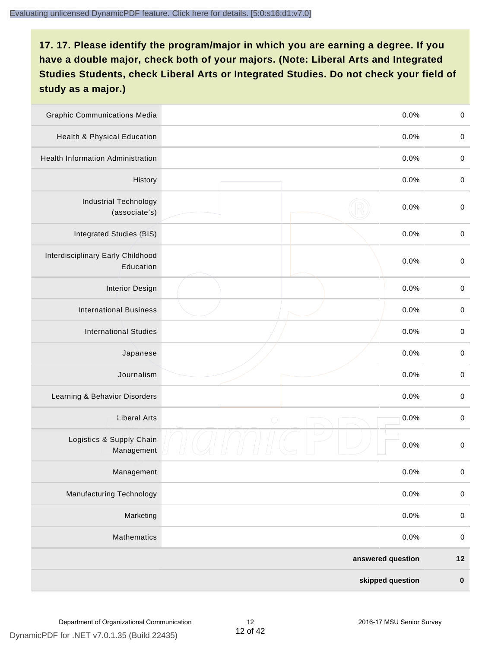| <b>Graphic Communications Media</b>            |                   | 0.0%             | $\mathbf 0$ |
|------------------------------------------------|-------------------|------------------|-------------|
| Health & Physical Education                    |                   | 0.0%             | $\pmb{0}$   |
| <b>Health Information Administration</b>       |                   | 0.0%             | $\pmb{0}$   |
| History                                        |                   | 0.0%             | $\pmb{0}$   |
| <b>Industrial Technology</b><br>(associate's)  |                   | 0.0%             | $\mathbf 0$ |
| Integrated Studies (BIS)                       |                   | 0.0%             | $\,0\,$     |
| Interdisciplinary Early Childhood<br>Education |                   | 0.0%             | $\mathbf 0$ |
| <b>Interior Design</b>                         |                   | 0.0%             | $\mathbf 0$ |
| <b>International Business</b>                  |                   | 0.0%             | $\mathbf 0$ |
| <b>International Studies</b>                   |                   | 0.0%             | $\,0\,$     |
| Japanese                                       |                   | 0.0%             | $\mathbf 0$ |
| Journalism                                     |                   | 0.0%             | $\mathbf 0$ |
| Learning & Behavior Disorders                  |                   | 0.0%             | $\mathbf 0$ |
| <b>Liberal Arts</b>                            | $\bigcirc$        | 0.0%             | $\pmb{0}$   |
| Logistics & Supply Chain<br>Management         |                   | 0.0%             | $\pmb{0}$   |
| Management                                     |                   | 0.0%             | $\pmb{0}$   |
| <b>Manufacturing Technology</b>                |                   | 0.0%             | $\pmb{0}$   |
| Marketing                                      |                   | 0.0%             | $\mathbf 0$ |
| Mathematics                                    |                   | 0.0%             | $\mathbf 0$ |
|                                                | answered question |                  | $12$        |
|                                                |                   | skipped question | $\pmb{0}$   |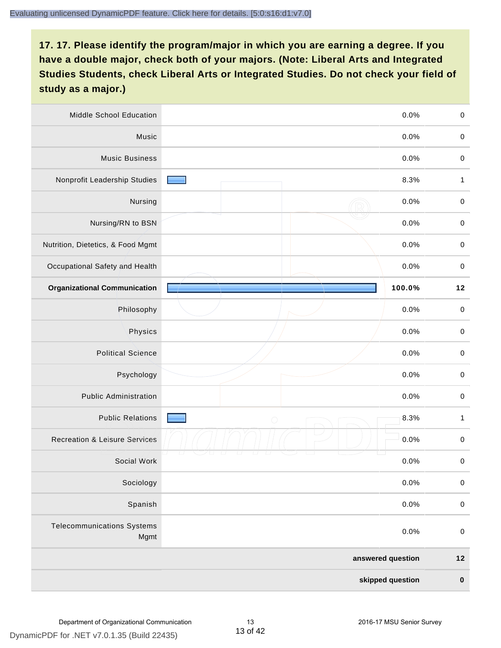| Middle School Education                   | 0.0%               | $\pmb{0}$    |
|-------------------------------------------|--------------------|--------------|
| Music                                     | 0.0%               | $\pmb{0}$    |
| <b>Music Business</b>                     | 0.0%               | $\pmb{0}$    |
| Nonprofit Leadership Studies              | 8.3%               | 1            |
| Nursing                                   | 0.0%               | $\mathbf 0$  |
| Nursing/RN to BSN                         | 0.0%               | $\mathbf 0$  |
| Nutrition, Dietetics, & Food Mgmt         | 0.0%               | $\pmb{0}$    |
| Occupational Safety and Health            | 0.0%               | $\,0\,$      |
| <b>Organizational Communication</b>       | 100.0%             | $12$         |
| Philosophy                                | 0.0%               | $\mathbf 0$  |
| Physics                                   | 0.0%               | $\pmb{0}$    |
| <b>Political Science</b>                  | 0.0%               | $\mathbf 0$  |
| Psychology                                | 0.0%               | $\,0\,$      |
| <b>Public Administration</b>              | 0.0%               | $\pmb{0}$    |
| <b>Public Relations</b>                   | 8.3%<br>$\bigcirc$ | $\mathbf{1}$ |
| <b>Recreation &amp; Leisure Services</b>  | 0.0%               | $\mathbf 0$  |
| Social Work                               | 0.0%               | $\,0\,$      |
| Sociology                                 | 0.0%               | $\mathbf 0$  |
| Spanish                                   | 0.0%               | $\mathbf 0$  |
| <b>Telecommunications Systems</b><br>Mgmt | 0.0%               | $\mathbf 0$  |
|                                           | answered question  | $12$         |
|                                           | skipped question   | $\pmb{0}$    |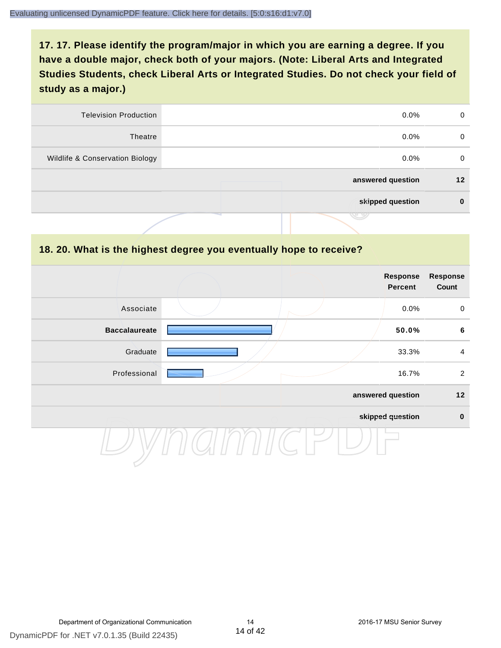| 0       | $0.0\%$           | <b>Television Production</b>    |
|---------|-------------------|---------------------------------|
| 0       | $0.0\%$           | Theatre                         |
| 0       | $0.0\%$           | Wildlife & Conservation Biology |
| $12 \,$ | answered question |                                 |
| 0       | skipped question  |                                 |
|         | س                 |                                 |

#### **18. 20. What is the highest degree you eventually hope to receive?**

|                      |  | Response<br>Percent | Response<br>Count |
|----------------------|--|---------------------|-------------------|
| Associate            |  | 0.0%                | $\mathbf 0$       |
| <b>Baccalaureate</b> |  | 50.0%               | $6\phantom{1}$    |
| Graduate             |  | 33.3%               | $\overline{4}$    |
| Professional         |  | 16.7%               | $\overline{2}$    |
|                      |  | answered question   | $12$              |
|                      |  | skipped question    | $\pmb{0}$         |
|                      |  |                     |                   |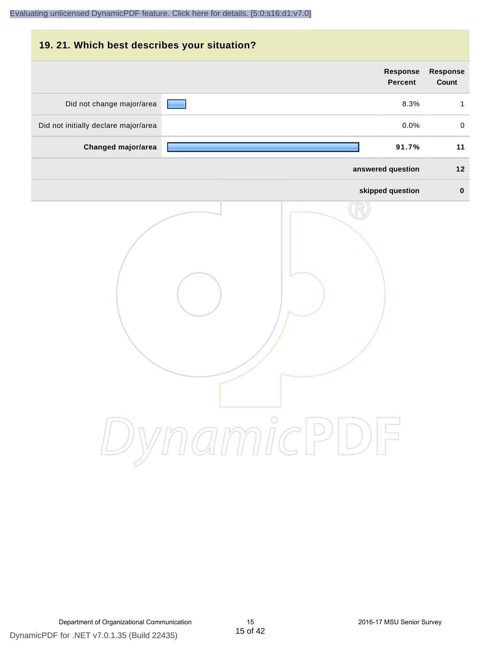| 19. 21. Which best describes your situation? |                                   |                          |
|----------------------------------------------|-----------------------------------|--------------------------|
|                                              | <b>Response</b><br><b>Percent</b> | <b>Response</b><br>Count |
| Did not change major/area                    | 8.3%                              | $\mathbf{1}$             |
| Did not initially declare major/area         | 0.0%                              | $\mathbf 0$              |
| Changed major/area                           | 91.7%                             | 11                       |
|                                              | answered question                 | 12                       |
|                                              | skipped question                  | $\bf{0}$                 |
|                                              | DynamicPDF                        |                          |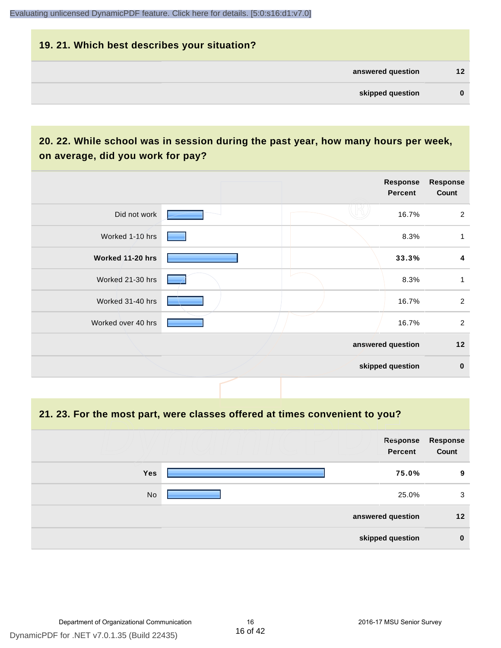## **19. 21. Which best describes your situation? answered question 12 skipped question 0**

## **20. 22. While school was in session during the past year, how many hours per week, on average, did you work for pay?**

|                    |  | Response<br>Percent | <b>Response</b><br>Count |
|--------------------|--|---------------------|--------------------------|
| Did not work       |  | 16.7%               | $\overline{2}$           |
| Worked 1-10 hrs    |  | 8.3%                | 1                        |
| Worked 11-20 hrs   |  | 33.3%               | 4                        |
| Worked 21-30 hrs   |  | 8.3%                | 1                        |
| Worked 31-40 hrs   |  | 16.7%               | $\overline{2}$           |
| Worked over 40 hrs |  | 16.7%               | 2                        |
|                    |  | answered question   | 12                       |
|                    |  | skipped question    | $\mathbf 0$              |

#### **21. 23. For the most part, were classes offered at times convenient to you?**

|            | Response<br>Percent | Response<br>Count |
|------------|---------------------|-------------------|
| <b>Yes</b> | 75.0%               | 9                 |
| No         | 25.0%               | 3                 |
|            | answered question   | 12                |
|            | skipped question    | $\mathbf 0$       |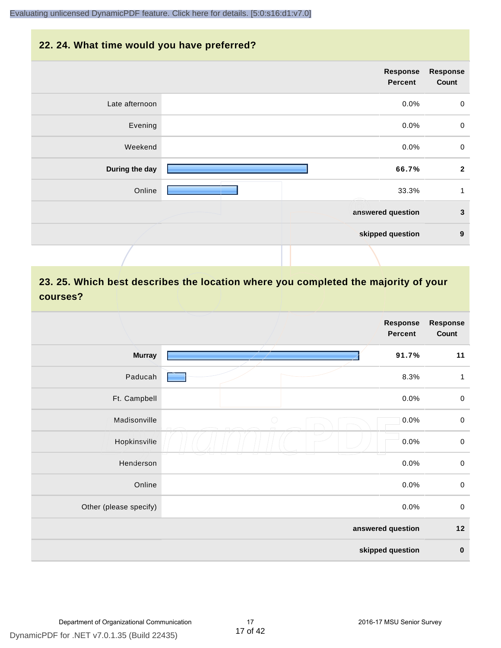#### **22. 24. What time would you have preferred?**

|                | Response<br><b>Percent</b> | <b>Response</b><br>Count |
|----------------|----------------------------|--------------------------|
| Late afternoon | 0.0%                       | $\mathbf 0$              |
| Evening        | 0.0%                       | $\mathbf 0$              |
| Weekend        | 0.0%                       | $\mathbf 0$              |
| During the day | 66.7%                      | $\overline{\mathbf{2}}$  |
| Online         | 33.3%                      | 1                        |
|                | answered question          | $\mathbf{3}$             |
|                | skipped question           | 9                        |
|                |                            |                          |

## **23. 25. Which best describes the location where you completed the majority of your courses?**

|                        |            | Response<br>Percent | Response<br>Count |
|------------------------|------------|---------------------|-------------------|
| <b>Murray</b>          |            | 91.7%               | 11                |
| Paducah                |            | 8.3%                | $\mathbf{1}$      |
| Ft. Campbell           |            | 0.0%                | $\mathsf{O}$      |
| Madisonville           | $\bigcirc$ | 0.0%                | $\mathbf 0$       |
| Hopkinsville           |            | 0.0%                | $\mathbf 0$       |
| Henderson              |            | 0.0%                | $\mathbf 0$       |
| Online                 |            | 0.0%                | $\,0\,$           |
| Other (please specify) |            | 0.0%                | $\mathbf 0$       |
|                        |            | answered question   | $12$              |
|                        |            | skipped question    | $\pmb{0}$         |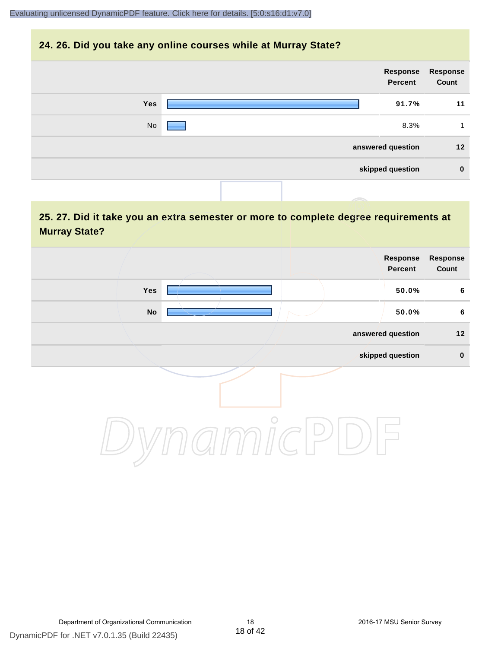#### **24. 26. Did you take any online courses while at Murray State?**

| Response<br>Count | Response<br>Percent |  |     |  |
|-------------------|---------------------|--|-----|--|
| 11                | 91.7%               |  | Yes |  |
| 1                 | 8.3%                |  | No  |  |
| 12                | answered question   |  |     |  |
| $\bf{0}$          | skipped question    |  |     |  |
|                   |                     |  |     |  |

## **25. 27. Did it take you an extra semester or more to complete degree requirements at Murray State?**

| Response<br>Count | Response<br>Percent |  |               |  |
|-------------------|---------------------|--|---------------|--|
| $6\phantom{.}6$   | 50.0%               |  | Yes           |  |
| $6\phantom{.}6$   | 50.0%               |  | $\mathsf{No}$ |  |
| $12$              | answered question   |  |               |  |
| $\pmb{0}$         | skipped question    |  |               |  |
|                   |                     |  |               |  |

DynamicPDF for .NET v7.0.1.35 (Build 22435)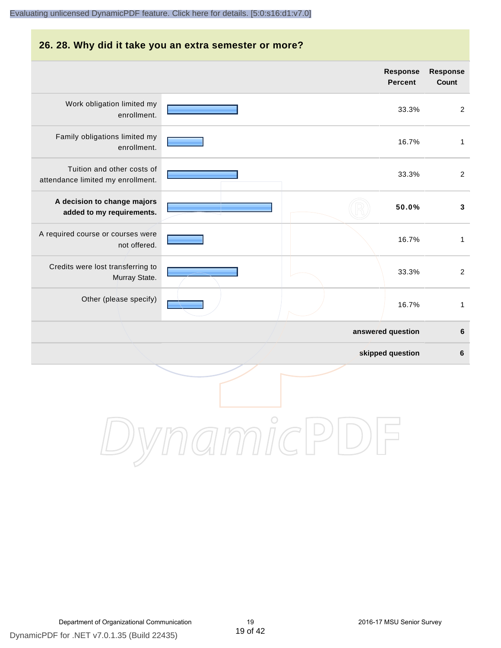#### **26. 28. Why did it take you an extra semester or more?**

|                                                                 |            | Response<br>Percent | Response<br>Count |
|-----------------------------------------------------------------|------------|---------------------|-------------------|
| Work obligation limited my<br>enrollment.                       |            | 33.3%               | $\overline{2}$    |
| Family obligations limited my<br>enrollment.                    |            | 16.7%               | $\mathbf{1}$      |
| Tuition and other costs of<br>attendance limited my enrollment. |            | 33.3%               | $\overline{2}$    |
| A decision to change majors<br>added to my requirements.        |            | 50.0%               | $\mathbf{3}$      |
| A required course or courses were<br>not offered.               |            | 16.7%               | $\mathbf{1}$      |
| Credits were lost transferring to<br>Murray State.              |            | 33.3%               | $\overline{2}$    |
| Other (please specify)                                          |            | 16.7%               | $\mathbf{1}$      |
|                                                                 |            | answered question   | 6                 |
|                                                                 |            | skipped question    | 6                 |
|                                                                 | $\bigcirc$ |                     |                   |

DynamicPDF for .NET v7.0.1.35 (Build 22435)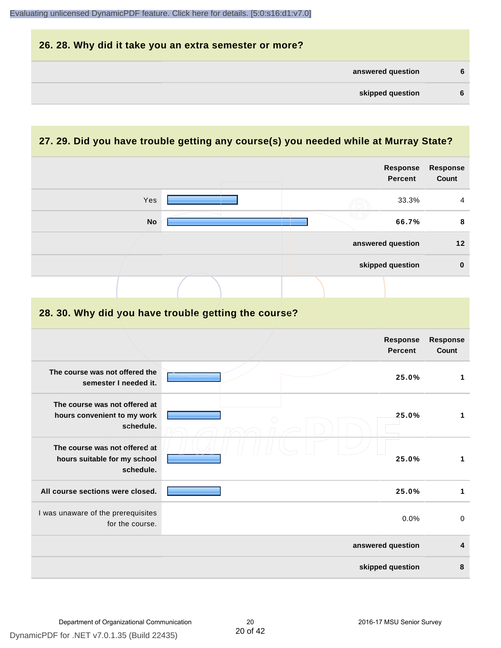| 26. 28. Why did it take you an extra semester or more? |    |
|--------------------------------------------------------|----|
| answered question                                      | 6  |
| skipped question                                       | -6 |

## **27. 29. Did you have trouble getting any course(s) you needed while at Murray State?**

|                                                                            |  | Response<br><b>Percent</b> | Response<br>Count       |
|----------------------------------------------------------------------------|--|----------------------------|-------------------------|
| Yes                                                                        |  | 33.3%                      | 4                       |
| <b>No</b>                                                                  |  | 66.7%                      | 8                       |
|                                                                            |  | answered question          | 12                      |
|                                                                            |  | skipped question           | $\bf{0}$                |
|                                                                            |  |                            |                         |
| 28. 30. Why did you have trouble getting the course?                       |  |                            |                         |
|                                                                            |  | Response<br><b>Percent</b> | Response<br>Count       |
| The course was not offered the<br>semester I needed it.                    |  | 25.0%                      | $\mathbf{1}$            |
| The course was not offered at<br>hours convenient to my work<br>schedule.  |  | 25.0%                      | $\mathbf{1}$            |
| The course was not offered at<br>hours suitable for my school<br>schedule. |  | 25.0%                      | $\mathbf{1}$            |
| All course sections were closed.                                           |  | 25.0%                      | $\mathbf{1}$            |
| I was unaware of the prerequisites<br>for the course.                      |  | 0.0%                       | $\mathbf 0$             |
|                                                                            |  | answered question          | $\overline{\mathbf{4}}$ |
|                                                                            |  | skipped question           | 8                       |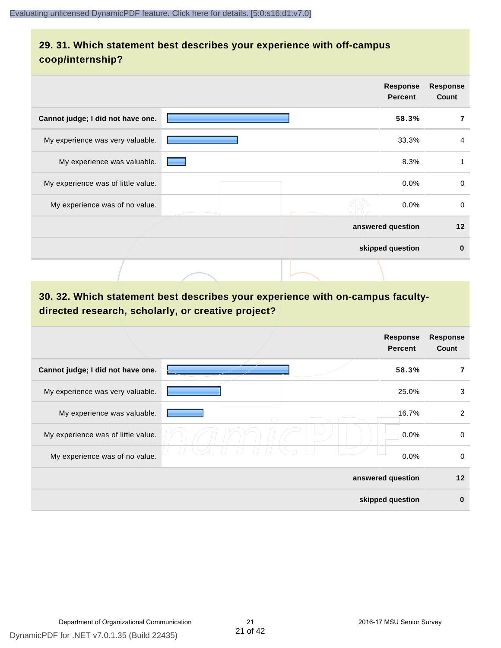## **29. 31. Which statement best describes your experience with off-campus coop/internship?**

|                                    | <b>Response</b><br><b>Percent</b> | <b>Response</b><br>Count |
|------------------------------------|-----------------------------------|--------------------------|
| Cannot judge; I did not have one.  | 58.3%                             |                          |
| My experience was very valuable.   | 33.3%                             | 4                        |
| My experience was valuable.        | 8.3%                              | 1                        |
| My experience was of little value. | 0.0%                              | $\mathbf 0$              |
| My experience was of no value.     | $0.0\%$                           | $\mathbf 0$              |
|                                    | answered question                 | 12                       |
|                                    | skipped question                  | $\bf{0}$                 |
|                                    |                                   |                          |

## **30. 32. Which statement best describes your experience with on-campus facultydirected research, scholarly, or creative project?**

|                                    | <b>Response</b><br><b>Percent</b> | <b>Response</b><br>Count |
|------------------------------------|-----------------------------------|--------------------------|
| Cannot judge; I did not have one.  | 58.3%                             | 7                        |
| My experience was very valuable.   | 25.0%                             | 3                        |
| My experience was valuable.        | 16.7%                             | $\overline{2}$           |
| My experience was of little value. | 0.0%                              | 0                        |
| My experience was of no value.     | 0.0%                              | 0                        |
|                                    | answered question                 | 12                       |
|                                    | skipped question                  | $\bf{0}$                 |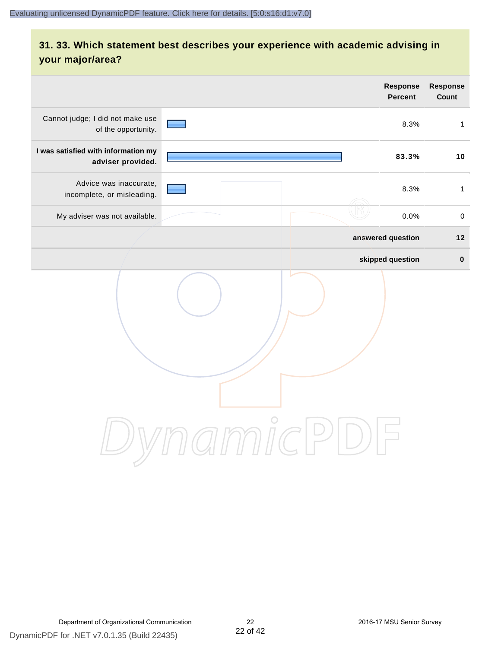## **31. 33. Which statement best describes your experience with academic advising in your major/area?**

|                                                          | <b>Response</b><br><b>Percent</b>                                       | Response<br>Count |
|----------------------------------------------------------|-------------------------------------------------------------------------|-------------------|
| Cannot judge; I did not make use<br>of the opportunity.  | 8.3%                                                                    | $\mathbf{1}$      |
| I was satisfied with information my<br>adviser provided. | 83.3%                                                                   | 10                |
| Advice was inaccurate,<br>incomplete, or misleading.     | 8.3%                                                                    | $\mathbf{1}$      |
| My adviser was not available.                            | 0.0%                                                                    | $\pmb{0}$         |
|                                                          | answered question                                                       | $12$              |
|                                                          | skipped question                                                        | $\pmb{0}$         |
|                                                          | amicl<br>$\left( \begin{array}{c} \end{array} \right)$<br>$\frac{1}{2}$ |                   |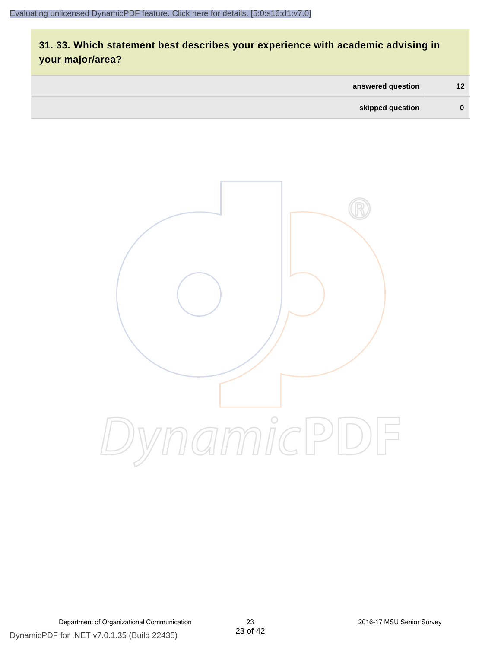## **31. 33. Which statement best describes your experience with academic advising in your major/area?**

| answered question | 12 <sup>°</sup> |
|-------------------|-----------------|
| skipped question  | 0               |



DynamicPDF for .NET v7.0.1.35 (Build 22435) Department of Organizational Communication 23 2016-17 MSU Senior Survey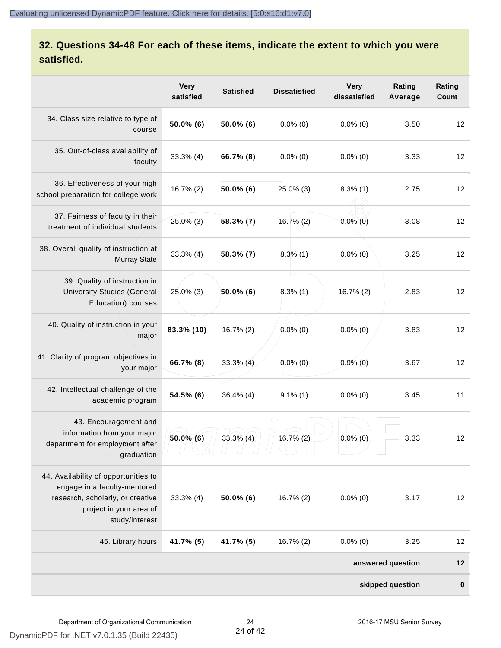## **32. Questions 34-48 For each of these items, indicate the extent to which you were satisfied.**

|                                                                                                                                                       | <b>Very</b><br>satisfied | <b>Satisfied</b> | <b>Dissatisfied</b> | <b>Very</b><br>dissatisfied | Rating<br>Average | Rating<br>Count |
|-------------------------------------------------------------------------------------------------------------------------------------------------------|--------------------------|------------------|---------------------|-----------------------------|-------------------|-----------------|
| 34. Class size relative to type of<br>course                                                                                                          | 50.0% (6)                | 50.0% (6)        | $0.0\%$ (0)         | $0.0\%$ (0)                 | 3.50              | 12              |
| 35. Out-of-class availability of<br>faculty                                                                                                           | 33.3% (4)                | 66.7% (8)        | $0.0\%$ (0)         | $0.0\%$ (0)                 | 3.33              | 12              |
| 36. Effectiveness of your high<br>school preparation for college work                                                                                 | $16.7\%(2)$              | 50.0% (6)        | 25.0% (3)           | $8.3\%$ (1)                 | 2.75              | 12              |
| 37. Fairness of faculty in their<br>treatment of individual students                                                                                  | 25.0% (3)                | 58.3% (7)        | 16.7%(2)            | $0.0\%$ $(0)$               | 3.08              | 12              |
| 38. Overall quality of instruction at<br><b>Murray State</b>                                                                                          | 33.3% (4)                | 58.3% (7)        | 8.3%(1)             | $0.0\%$ (0)                 | 3.25              | 12              |
| 39. Quality of instruction in<br><b>University Studies (General</b><br>Education) courses                                                             | 25.0% (3)                | 50.0% (6)        | $8.3\%$ (1)         | 16.7% (2)                   | 2.83              | 12              |
| 40. Quality of instruction in your<br>major                                                                                                           | 83.3% (10)               | 16.7% (2)        | $0.0\%$ (0)         | $0.0\%$ (0)                 | 3.83              | 12              |
| 41. Clarity of program objectives in<br>your major                                                                                                    | 66.7% (8)                | $33.3\%$ (4)     | $0.0\%$ (0)         | $0.0\%$ (0)                 | 3.67              | 12              |
| 42. Intellectual challenge of the<br>academic program                                                                                                 | 54.5% (6)                | $36.4\%$ (4)     | $9.1\%$ (1)         | $0.0\%$ (0)                 | 3.45              | 11              |
| 43. Encouragement and<br>information from your major<br>department for employment after<br>graduation                                                 | $50.0\%$ (6)             | $33.3\%$ (4)     | 16.7% (2)           | $0.0\%$ (0)                 | 3.33              | 12              |
| 44. Availability of opportunities to<br>engage in a faculty-mentored<br>research, scholarly, or creative<br>project in your area of<br>study/interest | $33.3\%$ (4)             | $50.0\%$ (6)     | 16.7% (2)           | $0.0\%$ (0)                 | 3.17              | 12              |
| 45. Library hours                                                                                                                                     | 41.7% (5)                | 41.7% (5)        | 16.7% (2)           | $0.0\%$ (0)                 | 3.25              | 12              |
|                                                                                                                                                       |                          |                  |                     |                             | answered question | $12$            |
|                                                                                                                                                       |                          |                  |                     |                             | skipped question  | $\bf{0}$        |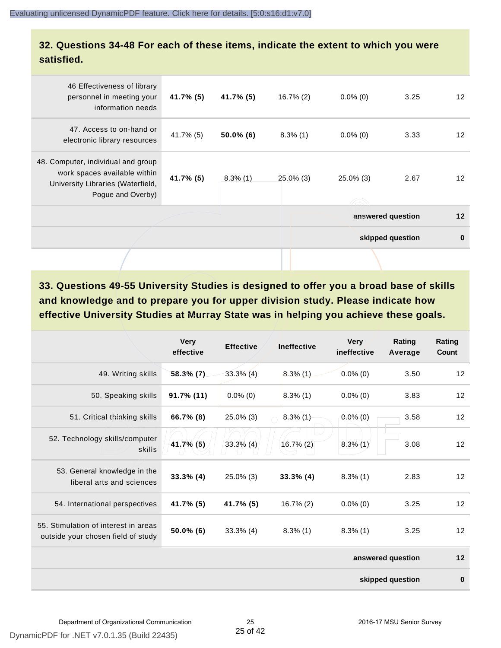**32. Questions 34-48 For each of these items, indicate the extent to which you were satisfied.**

| 46 Effectiveness of library<br>personnel in meeting your<br>information needs                                                | 41.7% (5)    | 41.7% (5)    | $16.7\%$ (2) | $0.0\%$ (0)       | 3.25             | $12 \overline{ }$ |
|------------------------------------------------------------------------------------------------------------------------------|--------------|--------------|--------------|-------------------|------------------|-------------------|
| 47. Access to on-hand or<br>electronic library resources                                                                     | $41.7\%$ (5) | $50.0\%$ (6) | $8.3\%$ (1)  | $0.0\%$ (0)       | 3.33             | 12 <sup>2</sup>   |
| 48. Computer, individual and group<br>work spaces available within<br>University Libraries (Waterfield,<br>Pogue and Overby) | 41.7% (5)    | $8.3\%$ (1)  | $25.0\%$ (3) | $25.0\%$ (3)      | 2.67             | $12 \overline{ }$ |
|                                                                                                                              |              |              |              | answered question |                  | 12                |
|                                                                                                                              |              |              |              |                   | skipped question | $\bf{0}$          |
|                                                                                                                              |              |              |              |                   |                  |                   |

**33. Questions 49-55 University Studies is designed to offer you a broad base of skills and knowledge and to prepare you for upper division study. Please indicate how effective University Studies at Murray State was in helping you achieve these goals.**

|                                                                            | <b>Very</b><br>effective | <b>Effective</b> | <b>Ineffective</b> | <b>Very</b><br>ineffective | Rating<br>Average | Rating<br>Count |
|----------------------------------------------------------------------------|--------------------------|------------------|--------------------|----------------------------|-------------------|-----------------|
| 49. Writing skills                                                         | 58.3% (7)                | $33.3\%$ (4)     | $8.3\%$ (1)        | $0.0\%$ (0)                | 3.50              | 12              |
| 50. Speaking skills                                                        | 91.7% (11)               | $0.0\%$ (0)      | $8.3\%$ (1)        | $0.0\%$ (0)                | 3.83              | 12              |
| 51. Critical thinking skills                                               | 66.7% (8)                | 25.0% (3)        | $8.3\%$ (1)        | $0.0\%$ (0)                | 3.58              | 12              |
| 52. Technology skills/computer<br>skills                                   | 41.7% (5)                | $33.3\%$ (4)     | $16.7\%$ (2)       | $8.3\%$ (1)                | 3.08              | 12              |
| 53. General knowledge in the<br>liberal arts and sciences                  | $33.3\%$ (4)             | $25.0\%$ (3)     | $33.3\%$ (4)       | $8.3\%$ (1)                | 2.83              | 12              |
| 54. International perspectives                                             | 41.7% (5)                | 41.7% (5)        | 16.7% (2)          | $0.0\%$ (0)                | 3.25              | 12              |
| 55. Stimulation of interest in areas<br>outside your chosen field of study | 50.0% (6)                | $33.3\%$ (4)     | $8.3\%$ (1)        | $8.3\%$ (1)                | 3.25              | 12              |
|                                                                            |                          |                  |                    |                            | answered question | 12              |
|                                                                            |                          |                  |                    |                            | skipped question  | $\bf{0}$        |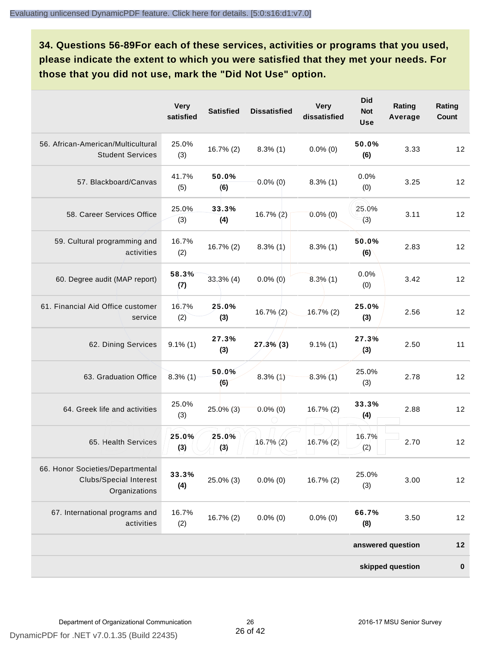**34. Questions 56-89For each of these services, activities or programs that you used, please indicate the extent to which you were satisfied that they met your needs. For those that you did not use, mark the "Did Not Use" option.**

|                                                                                    | <b>Very</b><br>satisfied | <b>Satisfied</b> | <b>Dissatisfied</b> | <b>Very</b><br>dissatisfied | <b>Did</b><br><b>Not</b><br><b>Use</b> | Rating<br>Average | Rating<br>Count |
|------------------------------------------------------------------------------------|--------------------------|------------------|---------------------|-----------------------------|----------------------------------------|-------------------|-----------------|
| 56. African-American/Multicultural<br><b>Student Services</b>                      | 25.0%<br>(3)             | $16.7\%(2)$      | $8.3\%$ (1)         | $0.0\%$ (0)                 | 50.0%<br>(6)                           | 3.33              | 12              |
| 57. Blackboard/Canvas                                                              | 41.7%<br>(5)             | 50.0%<br>(6)     | $0.0\%$ (0)         | $8.3\%$ (1)                 | 0.0%<br>(0)                            | 3.25              | 12              |
| 58. Career Services Office                                                         | 25.0%<br>(3)             | 33.3%<br>(4)     | 16.7% (2)           | $0.0\%$ (0)                 | 25.0%<br>(3)                           | 3.11              | 12              |
| 59. Cultural programming and<br>activities                                         | 16.7%<br>(2)             | 16.7% (2)        | $8.3\%$ (1)         | $8.3\%$ (1)                 | 50.0%<br>(6)                           | 2.83              | 12              |
| 60. Degree audit (MAP report)                                                      | 58.3%<br>(7)             | $33.3%$ (4)      | $0.0\%$ (0)         | $8.3\%$ (1)                 | 0.0%<br>(0)                            | 3.42              | 12              |
| 61. Financial Aid Office customer<br>service                                       | 16.7%<br>(2)             | 25.0%<br>(3)     | $16.7\%(2)$         | $16.7\%$ (2)                | 25.0%<br>(3)                           | 2.56              | 12              |
| 62. Dining Services                                                                | $9.1\%$ (1)              | 27.3%<br>(3)     | $27.3\%$ (3)        | $9.1\%$ (1)                 | 27.3%<br>(3)                           | 2.50              | 11              |
| 63. Graduation Office                                                              | $8.3\%$ (1)              | 50.0%<br>(6)     | $8.3\%$ (1)         | $8.3\%$ (1)                 | 25.0%<br>(3)                           | 2.78              | 12              |
| 64. Greek life and activities                                                      | 25.0%<br>(3)             | $25.0\%$ (3)     | $0.0\%$ (0)         | $16.7\%$ (2)                | 33.3%<br>(4)                           | 2.88              | 12              |
| 65. Health Services                                                                | 25.0%<br>(3)             | 25.0%<br>(3)     | $16.7\%$ (2)        | $16.7\%$ (2)                | 16.7%<br>(2)                           | 2.70              | 12              |
| 66. Honor Societies/Departmental<br><b>Clubs/Special Interest</b><br>Organizations | 33.3%<br>(4)             | 25.0% (3)        | $0.0\%$ (0)         | 16.7% (2)                   | 25.0%<br>(3)                           | 3.00              | 12              |
| 67. International programs and<br>activities                                       | 16.7%<br>(2)             | 16.7% (2)        | $0.0\%$ (0)         | $0.0\%$ (0)                 | 66.7%<br>(8)                           | 3.50              | 12              |
|                                                                                    |                          |                  |                     |                             |                                        | answered question | $12$            |
|                                                                                    |                          |                  |                     |                             |                                        | skipped question  | $\pmb{0}$       |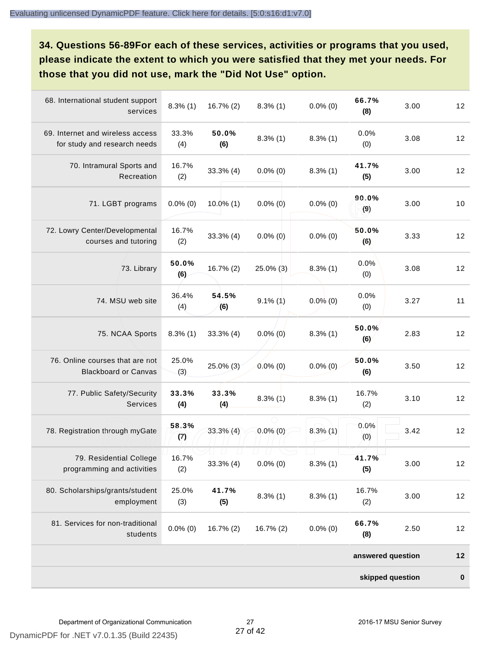**34. Questions 56-89For each of these services, activities or programs that you used, please indicate the extent to which you were satisfied that they met your needs. For those that you did not use, mark the "Did Not Use" option.**

| 68. International student support<br>services                    | $8.3\%$ (1)  | 16.7% (2)    | $8.3\%$ (1) | $0.0\%$ (0) | 66.7%<br>(8)      | 3.00 | 12        |
|------------------------------------------------------------------|--------------|--------------|-------------|-------------|-------------------|------|-----------|
| 69. Internet and wireless access<br>for study and research needs | 33.3%<br>(4) | 50.0%<br>(6) | $8.3\%$ (1) | $8.3\%$ (1) | 0.0%<br>(0)       | 3.08 | 12        |
| 70. Intramural Sports and<br>Recreation                          | 16.7%<br>(2) | $33.3\%$ (4) | $0.0\%$ (0) | $8.3\%$ (1) | 41.7%<br>(5)      | 3.00 | 12        |
| 71. LGBT programs                                                | $0.0\%$ (0)  | $10.0\%$ (1) | $0.0\%$ (0) | $0.0\%$ (0) | 90.0%<br>(9)      | 3.00 | 10        |
| 72. Lowry Center/Developmental<br>courses and tutoring           | 16.7%<br>(2) | $33.3%$ (4)  | $0.0\%$ (0) | $0.0\%$ (0) | 50.0%<br>(6)      | 3.33 | 12        |
| 73. Library                                                      | 50.0%<br>(6) | 16.7% (2)    | 25.0% (3)   | $8.3\%$ (1) | 0.0%<br>(0)       | 3.08 | 12        |
| 74. MSU web site                                                 | 36.4%<br>(4) | 54.5%<br>(6) | $9.1\%$ (1) | $0.0\%$ (0) | 0.0%<br>(0)       | 3.27 | 11        |
| 75. NCAA Sports                                                  | $8.3\%$ (1)  | $33.3%$ (4)  | $0.0\%$ (0) | $8.3\%$ (1) | 50.0%<br>(6)      | 2.83 | 12        |
| 76. Online courses that are not<br><b>Blackboard or Canvas</b>   | 25.0%<br>(3) | 25.0% (3)    | $0.0\%$ (0) | $0.0\%$ (0) | 50.0%<br>(6)      | 3.50 | 12        |
| 77. Public Safety/Security<br><b>Services</b>                    | 33.3%<br>(4) | 33.3%<br>(4) | $8.3\%$ (1) | $8.3\%$ (1) | 16.7%<br>(2)      | 3.10 | 12        |
| 78. Registration through myGate                                  | 58.3%<br>(7) | $33.3\%$ (4) | $0.0\%$ (0) | $8.3\%$ (1) | 0.0%<br>(0)       | 3.42 | 12        |
| 79. Residential College<br>programming and activities            | 16.7%<br>(2) | 33.3% (4)    | $0.0\%$ (0) | $8.3\%$ (1) | 41.7%<br>(5)      | 3.00 | 12        |
| 80. Scholarships/grants/student<br>employment                    | 25.0%<br>(3) | 41.7%<br>(5) | $8.3\%$ (1) | $8.3\%$ (1) | 16.7%<br>(2)      | 3.00 | 12        |
| 81. Services for non-traditional<br>students                     | $0.0\%$ (0)  | $16.7\%(2)$  | 16.7% (2)   | $0.0\%$ (0) | 66.7%<br>(8)      | 2.50 | 12        |
|                                                                  |              |              |             |             | answered question |      | $12$      |
|                                                                  |              |              |             |             | skipped question  |      | $\pmb{0}$ |

DynamicPDF for .NET v7.0.1.35 (Build 22435)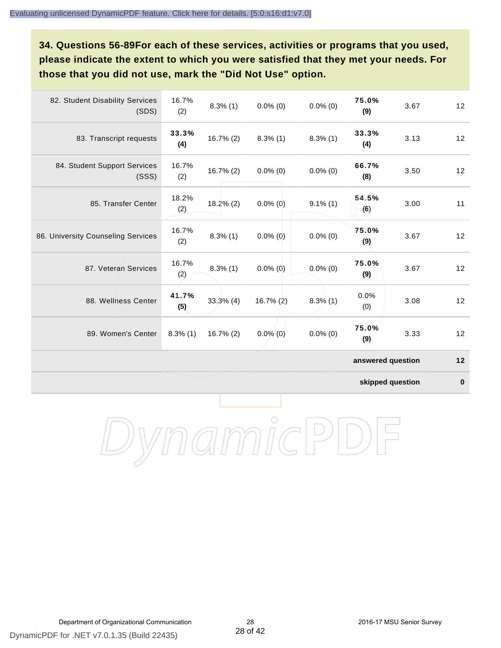**34. Questions 56-89For each of these services, activities or programs that you used, please indicate the extent to which you were satisfied that they met your needs. For those that you did not use, mark the "Did Not Use" option.**

| 82. Student Disability Services<br>(SDS) | 16.7%<br>(2) | $8.3\%$ (1)  | $0.0\%$ (0)  | $0.0\%$ (0) | 75.0%<br>(9)      | 3.67 | 12 |
|------------------------------------------|--------------|--------------|--------------|-------------|-------------------|------|----|
| 83. Transcript requests                  | 33.3%<br>(4) | 16.7% (2)    | $8.3\%$ (1)  | $8.3\%$ (1) | 33.3%<br>(4)      | 3.13 | 12 |
| 84. Student Support Services<br>(SSS)    | 16.7%<br>(2) | $16.7\%$ (2) | $0.0\%$ (0)  | $0.0\%$ (0) | 66.7%<br>(8)      | 3.50 | 12 |
| 85. Transfer Center                      | 18.2%<br>(2) | $18.2\%$ (2) | $0.0\%$ (0)  | $9.1\%$ (1) | 54.5%<br>(6)      | 3.00 | 11 |
| 86. University Counseling Services       | 16.7%<br>(2) | $8.3\%$ (1)  | $0.0\%$ (0)  | $0.0\%$ (0) | 75.0%<br>(9)      | 3.67 | 12 |
| 87. Veteran Services                     | 16.7%<br>(2) | $8.3\%$ (1)  | $0.0\%$ (0)  | $0.0\%$ (0) | 75.0%<br>(9)      | 3.67 | 12 |
| 88. Wellness Center                      | 41.7%<br>(5) | $33.3%$ (4)  | $16.7\%$ (2) | $8.3\%$ (1) | 0.0%<br>(0)       | 3.08 | 12 |
| 89. Women's Center                       | $8.3\%$ (1)  | $16.7\%$ (2) | $0.0\%$ (0)  | $0.0\%$ (0) | 75.0%<br>(9)      | 3.33 | 12 |
|                                          |              |              |              |             | answered question |      | 12 |

**skipped question 0**

DynamicPDF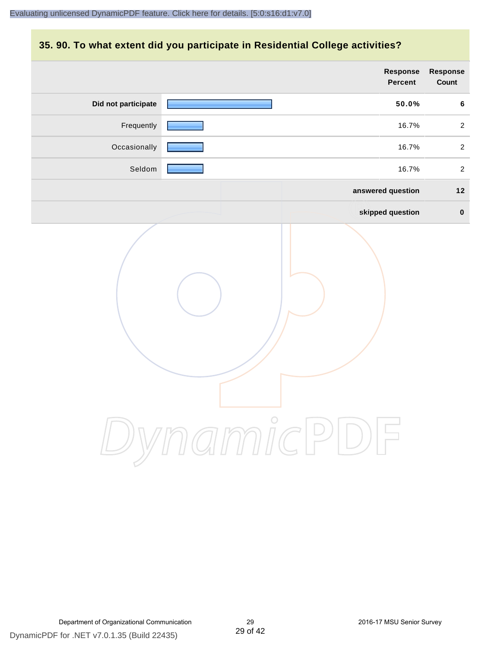#### **35. 90. To what extent did you participate in Residential College activities?**

|                     | Response<br>Percent | Response<br>Count |
|---------------------|---------------------|-------------------|
| Did not participate | 50.0%               | 6                 |
| Frequently          | 16.7%               | $\overline{2}$    |
| Occasionally        | 16.7%               | $\overline{2}$    |
| Seldom              | 16.7%               | $\overline{2}$    |
|                     | answered question   | $12$              |
|                     | skipped question    | $\mathbf 0$       |
|                     | ynamicPl<br>$\Box$  |                   |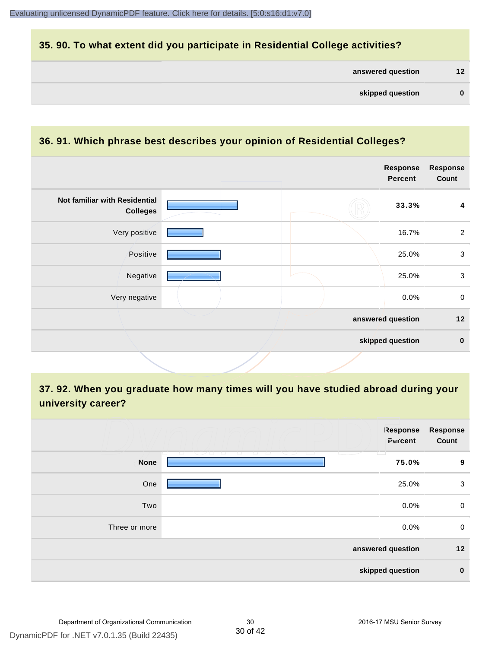#### **35. 90. To what extent did you participate in Residential College activities?**

| answered question |  | 12 |
|-------------------|--|----|
|-------------------|--|----|

#### **36. 91. Which phrase best describes your opinion of Residential Colleges?**

|                                                  |  | <b>Response</b><br><b>Percent</b> | <b>Response</b><br>Count |
|--------------------------------------------------|--|-----------------------------------|--------------------------|
| Not familiar with Residential<br><b>Colleges</b> |  | 33.3%                             | 4                        |
| Very positive                                    |  | 16.7%                             | $\overline{2}$           |
| Positive                                         |  | 25.0%                             | $\mathbf{3}$             |
| Negative                                         |  | 25.0%                             | $\mathbf{3}$             |
| Very negative                                    |  | 0.0%                              | $\mathbf 0$              |
|                                                  |  | answered question                 | 12                       |
|                                                  |  | skipped question                  | $\bf{0}$                 |

## **37. 92. When you graduate how many times will you have studied abroad during your university career?**

|               | Response<br>Percent                                       | <b>Response</b><br>Count |
|---------------|-----------------------------------------------------------|--------------------------|
| <b>None</b>   | T.<br><b>Contract Contract Contract Contract</b><br>75.0% | 9                        |
| One           | 25.0%                                                     | 3                        |
| Two           | 0.0%                                                      | 0                        |
| Three or more | 0.0%                                                      | 0                        |
|               | answered question                                         | 12                       |
|               | skipped question                                          | $\bf{0}$                 |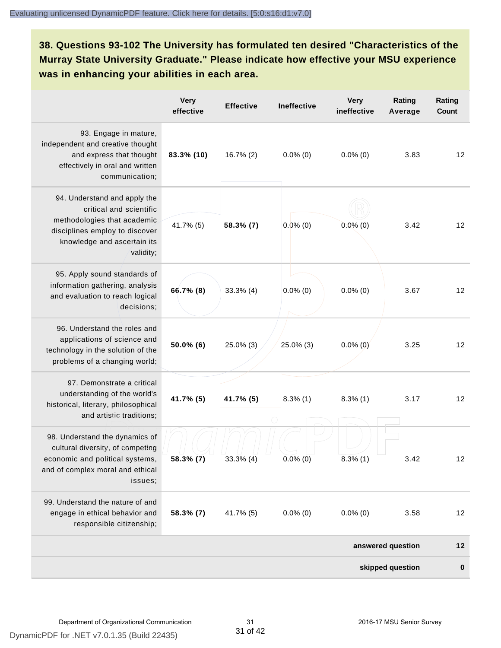## **38. Questions 93-102 The University has formulated ten desired "Characteristics of the Murray State University Graduate." Please indicate how effective your MSU experience was in enhancing your abilities in each area.**

|                                                                                                                                                                      | <b>Very</b><br>effective | <b>Effective</b> | <b>Ineffective</b> | <b>Very</b><br>ineffective | Rating<br>Average | Rating<br>Count |
|----------------------------------------------------------------------------------------------------------------------------------------------------------------------|--------------------------|------------------|--------------------|----------------------------|-------------------|-----------------|
| 93. Engage in mature,<br>independent and creative thought<br>and express that thought<br>effectively in oral and written<br>communication;                           | 83.3% (10)               | $16.7\%$ (2)     | $0.0\%$ (0)        | $0.0\%$ (0)                | 3.83              | 12              |
| 94. Understand and apply the<br>critical and scientific<br>methodologies that academic<br>disciplines employ to discover<br>knowledge and ascertain its<br>validity; | 41.7% (5)                | 58.3% (7)        | $0.0\%$ (0)        | $0.0\%$ (0)                | 3.42              | 12              |
| 95. Apply sound standards of<br>information gathering, analysis<br>and evaluation to reach logical<br>decisions;                                                     | 66.7% (8)                | $33.3\%$ (4)     | $0.0\%$ (0)        | $0.0\%$ (0)                | 3.67              | 12              |
| 96. Understand the roles and<br>applications of science and<br>technology in the solution of the<br>problems of a changing world;                                    | 50.0% (6)                | 25.0% (3)        | 25.0% (3)          | $0.0\%$ (0)                | 3.25              | 12              |
| 97. Demonstrate a critical<br>understanding of the world's<br>historical, literary, philosophical<br>and artistic traditions;                                        | 41.7% (5)                | 41.7% (5)        | $8.3\%$ (1)        | $8.3\%$ (1)                | 3.17              | 12              |
| 98. Understand the dynamics of<br>cultural diversity, of competing<br>economic and political systems,<br>and of complex moral and ethical<br>issues;                 | 58.3% (7)                | $33.3\%$ (4)     | $0.0\%$ (0)        | $8.3\%$ (1)                | 3.42              | 12              |
| 99. Understand the nature of and<br>engage in ethical behavior and<br>responsible citizenship;                                                                       | 58.3% (7)                | 41.7% (5)        | $0.0\%$ (0)        | $0.0\%$ (0)                | 3.58              | 12              |
|                                                                                                                                                                      |                          |                  |                    |                            | answered question | $12$            |
|                                                                                                                                                                      |                          |                  |                    |                            | skipped question  | $\bf{0}$        |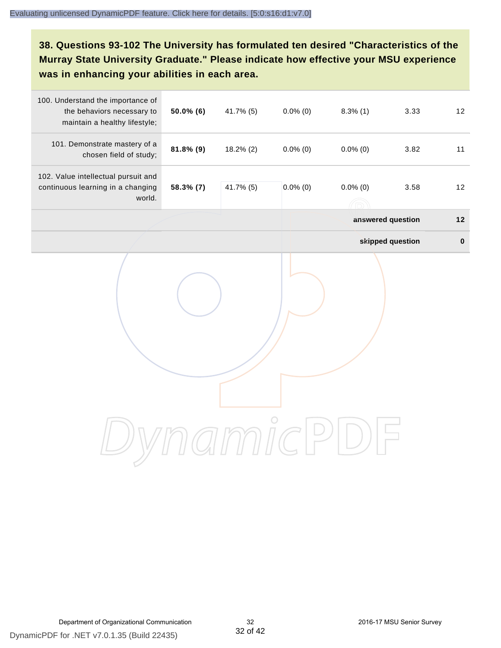## **38. Questions 93-102 The University has formulated ten desired "Characteristics of the Murray State University Graduate." Please indicate how effective your MSU experience was in enhancing your abilities in each area.**

| 100. Understand the importance of<br>the behaviors necessary to<br>maintain a healthy lifestyle; | 50.0% (6) | 41.7% (5) | $0.0\%$ (0) | $8.3\%$ (1)       | 3.33             | 12        |
|--------------------------------------------------------------------------------------------------|-----------|-----------|-------------|-------------------|------------------|-----------|
| 101. Demonstrate mastery of a<br>chosen field of study;                                          | 81.8% (9) | 18.2% (2) | $0.0\%$ (0) | $0.0\%$ (0)       | 3.82             | 11        |
| 102. Value intellectual pursuit and<br>continuous learning in a changing<br>world.               | 58.3% (7) | 41.7% (5) | $0.0\%$ (0) | $0.0\%$ (0)       | 3.58             | 12        |
|                                                                                                  |           |           |             | answered question |                  | $12$      |
|                                                                                                  |           |           |             |                   | skipped question | $\pmb{0}$ |
|                                                                                                  |           |           |             |                   |                  |           |
|                                                                                                  |           |           |             |                   |                  |           |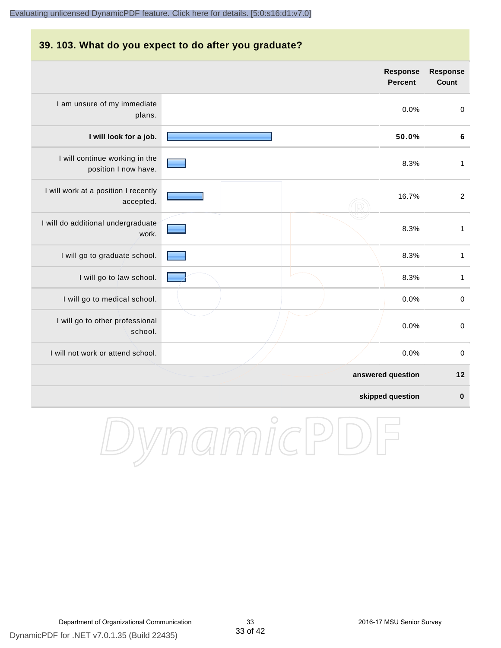#### **39. 103. What do you expect to do after you graduate?**

|                                                        | <b>Response</b><br><b>Percent</b> | <b>Response</b><br>Count |
|--------------------------------------------------------|-----------------------------------|--------------------------|
| I am unsure of my immediate<br>plans.                  | 0.0%                              | $\boldsymbol{0}$         |
| I will look for a job.                                 | 50.0%                             | $\bf 6$                  |
| I will continue working in the<br>position I now have. | 8.3%                              | $\mathbf{1}$             |
| I will work at a position I recently<br>accepted.      | 16.7%                             | $\overline{c}$           |
| I will do additional undergraduate<br>work.            | 8.3%                              | $\mathbf{1}$             |
| I will go to graduate school.                          | 8.3%                              | $\mathbf{1}$             |
| I will go to law school.                               | 8.3%                              | 1                        |
| I will go to medical school.                           | 0.0%                              | $\boldsymbol{0}$         |
| I will go to other professional<br>school.             | 0.0%                              | $\boldsymbol{0}$         |
| I will not work or attend school.                      | 0.0%                              | $\pmb{0}$                |
|                                                        | answered question                 | 12                       |
|                                                        | skipped question                  | $\bf{0}$                 |

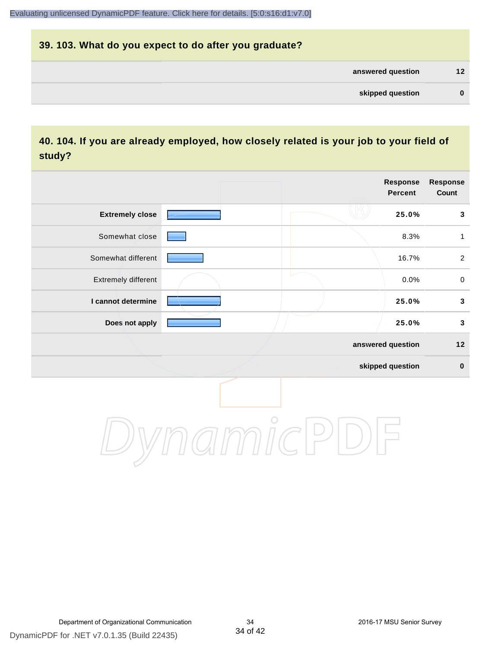# **39. 103. What do you expect to do after you graduate? answered question 12 skipped question 0**

### **40. 104. If you are already employed, how closely related is your job to your field of study?**

|                        |            | Response<br>Percent | Response<br>Count |
|------------------------|------------|---------------------|-------------------|
| <b>Extremely close</b> |            | 25.0%               | $\mathbf 3$       |
| Somewhat close         |            | 8.3%                | 1                 |
| Somewhat different     |            | 16.7%               | $\overline{2}$    |
| Extremely different    |            | 0.0%                | $\mathbf 0$       |
| I cannot determine     |            | 25.0%               | $\mathbf{3}$      |
| Does not apply         |            | 25.0%               | $\mathbf{3}$      |
|                        |            | answered question   | $12$              |
|                        |            | skipped question    | $\pmb{0}$         |
|                        | $\bigcirc$ |                     |                   |

DynamicPDF for .NET v7.0.1.35 (Build 22435)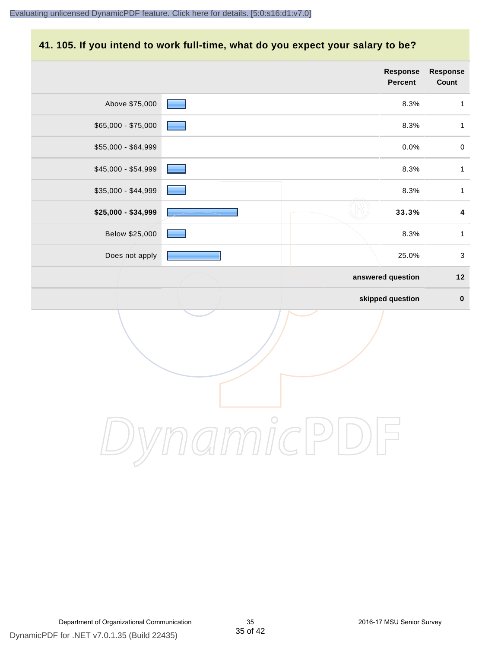#### **41. 105. If you intend to work full-time, what do you expect your salary to be?**

|                     |            |  | Response<br>Percent | Response<br>Count       |
|---------------------|------------|--|---------------------|-------------------------|
| Above \$75,000      |            |  | 8.3%                | $\mathbf{1}$            |
| \$65,000 - \$75,000 |            |  | 8.3%                | $\mathbf{1}$            |
| \$55,000 - \$64,999 |            |  | 0.0%                | $\mathbf 0$             |
| \$45,000 - \$54,999 |            |  | 8.3%                | $\mathbf{1}$            |
| \$35,000 - \$44,999 |            |  | 8.3%                | $\mathbf{1}$            |
| \$25,000 - \$34,999 |            |  | 33.3%               | $\overline{\mathbf{4}}$ |
| Below \$25,000      |            |  | 8.3%                | $\mathbf{1}$            |
| Does not apply      |            |  | 25.0%               | $\mathfrak{S}$          |
|                     |            |  | answered question   | $12$                    |
|                     |            |  | skipped question    | $\pmb{0}$               |
|                     |            |  |                     |                         |
|                     | $\bigcirc$ |  |                     |                         |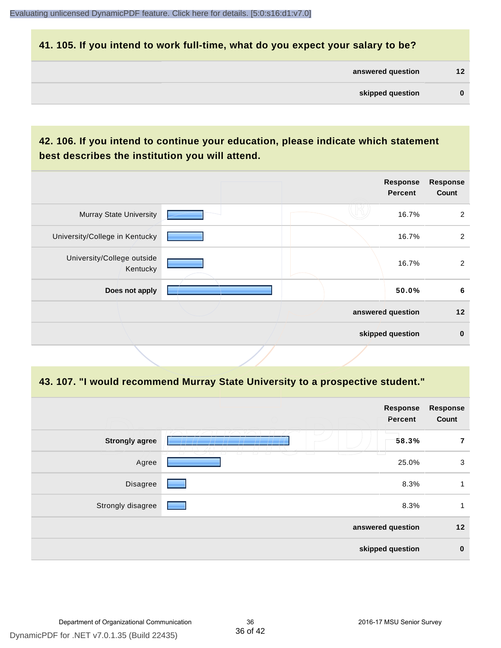#### **41. 105. If you intend to work full-time, what do you expect your salary to be?**

| answered question |  |  |  |
|-------------------|--|--|--|
|-------------------|--|--|--|

## **42. 106. If you intend to continue your education, please indicate which statement best describes the institution you will attend.**

| <b>Murray State University</b><br>University/College in Kentucky | 16.7%<br>16.7%    | 2              |
|------------------------------------------------------------------|-------------------|----------------|
|                                                                  |                   |                |
|                                                                  |                   | $\overline{2}$ |
| University/College outside<br>Kentucky                           | 16.7%             | 2              |
| Does not apply                                                   | 50.0%             | 6              |
|                                                                  | answered question | 12             |
|                                                                  | skipped question  | $\mathbf 0$    |

#### **43. 107. "I would recommend Murray State University to a prospective student."**

| <b>Response</b><br>Percent | <b>Response</b><br>Count                                                                                                                                                                                                                                                  |
|----------------------------|---------------------------------------------------------------------------------------------------------------------------------------------------------------------------------------------------------------------------------------------------------------------------|
| 58.3%                      | 7                                                                                                                                                                                                                                                                         |
| 25.0%                      | 3                                                                                                                                                                                                                                                                         |
| 8.3%                       | 1                                                                                                                                                                                                                                                                         |
| 8.3%                       | 1                                                                                                                                                                                                                                                                         |
| answered question          | 12                                                                                                                                                                                                                                                                        |
| skipped question           | $\bf{0}$                                                                                                                                                                                                                                                                  |
|                            | n m<br>T<br>77<br>77<br>T<br><b>The Contract of the Contract of the Contract of the Contract of the Contract of the Contract of the Contract of the Contract of the Contract of the Contract of the Contract of the Contract of the Contract of the Contract </b><br>- 11 |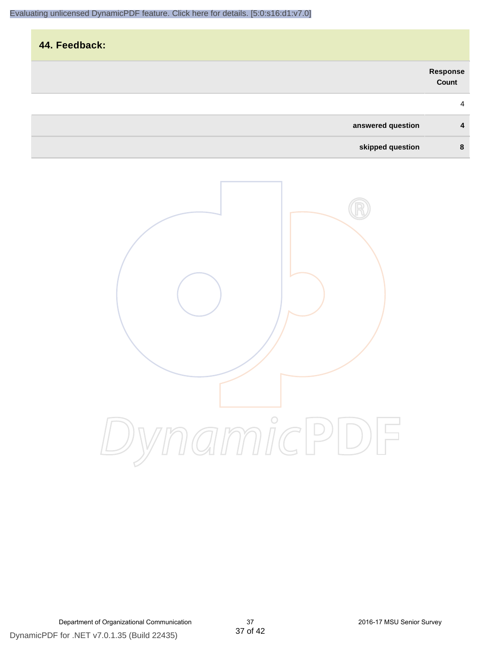| 44. Feedback:     |                           |
|-------------------|---------------------------|
|                   | <b>Response<br/>Count</b> |
|                   | $\overline{4}$            |
| answered question | 4                         |
| skipped question  | 8                         |

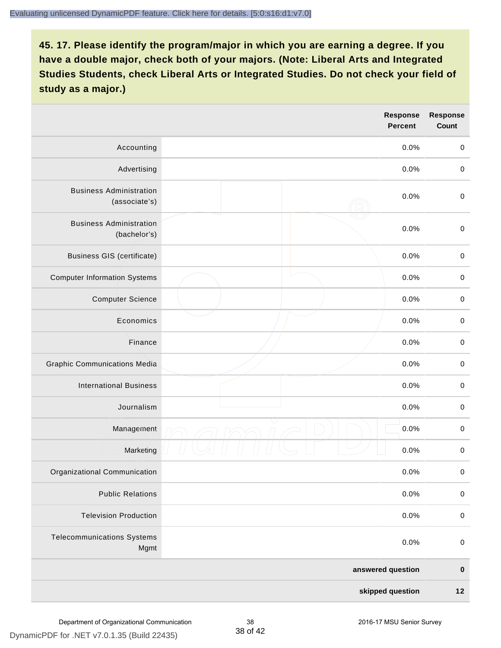|                                                 |  | <b>Response</b><br><b>Percent</b> | <b>Response</b><br>Count |
|-------------------------------------------------|--|-----------------------------------|--------------------------|
| Accounting                                      |  | 0.0%                              | $\mathbf 0$              |
| Advertising                                     |  | 0.0%                              | $\pmb{0}$                |
| <b>Business Administration</b><br>(associate's) |  | 0.0%                              | $\pmb{0}$                |
| <b>Business Administration</b><br>(bachelor's)  |  | 0.0%                              | $\pmb{0}$                |
| <b>Business GIS (certificate)</b>               |  | 0.0%                              | $\mathbf 0$              |
| <b>Computer Information Systems</b>             |  | 0.0%                              | $\pmb{0}$                |
| <b>Computer Science</b>                         |  | 0.0%                              | $\mathbf 0$              |
| Economics                                       |  | 0.0%                              | $\pmb{0}$                |
| Finance                                         |  | 0.0%                              | $\pmb{0}$                |
| <b>Graphic Communications Media</b>             |  | 0.0%                              | $\mathbf 0$              |
| <b>International Business</b>                   |  | 0.0%                              | $\pmb{0}$                |
| Journalism                                      |  | 0.0%                              | $\mathbf 0$              |
| Management                                      |  | 0.0%                              | $\pmb{0}$                |
| Marketing                                       |  | 0.0%                              | $\,0\,$                  |
| Organizational Communication                    |  | 0.0%                              | $\pmb{0}$                |
| <b>Public Relations</b>                         |  | 0.0%                              | $\mathbf 0$              |
| <b>Television Production</b>                    |  | 0.0%                              | $\mathsf 0$              |
| <b>Telecommunications Systems</b><br>Mgmt       |  | 0.0%                              | $\mathbf 0$              |
|                                                 |  | answered question                 | $\pmb{0}$                |
| skipped question                                |  |                                   | $12$                     |

DynamicPDF for .NET v7.0.1.35 (Build 22435)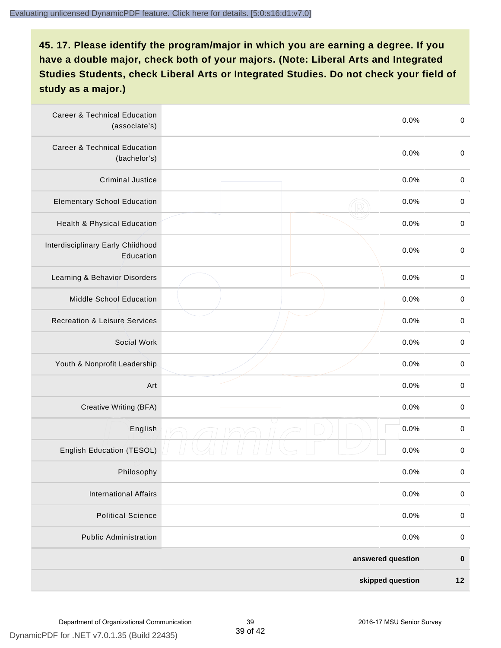| <b>Career &amp; Technical Education</b><br>(associate's) | 0.0%              |      | $\pmb{0}$   |
|----------------------------------------------------------|-------------------|------|-------------|
| <b>Career &amp; Technical Education</b><br>(bachelor's)  |                   | 0.0% | $\pmb{0}$   |
| <b>Criminal Justice</b>                                  |                   | 0.0% | $\,0\,$     |
| <b>Elementary School Education</b>                       |                   | 0.0% | $\mathbf 0$ |
| Health & Physical Education                              |                   | 0.0% | $\pmb{0}$   |
| Interdisciplinary Early Childhood<br>Education           |                   | 0.0% | $\pmb{0}$   |
| Learning & Behavior Disorders                            |                   | 0.0% | $\,0\,$     |
| Middle School Education                                  |                   | 0.0% | $\mathbf 0$ |
| <b>Recreation &amp; Leisure Services</b>                 |                   | 0.0% | $\mathbf 0$ |
| Social Work                                              |                   | 0.0% | $\pmb{0}$   |
| Youth & Nonprofit Leadership                             |                   | 0.0% | $\,0\,$     |
| Art                                                      |                   | 0.0% | $\,0\,$     |
| Creative Writing (BFA)                                   |                   | 0.0% | $\mathbf 0$ |
| English                                                  |                   | 0.0% | $\mathbf 0$ |
| English Education (TESOL)                                |                   | 0.0% | 0           |
| Philosophy                                               |                   | 0.0% | 0           |
| <b>International Affairs</b>                             |                   | 0.0% | $\mathbf 0$ |
| <b>Political Science</b>                                 |                   | 0.0% | $\mathbf 0$ |
| <b>Public Administration</b>                             |                   | 0.0% | $\mathbf 0$ |
|                                                          | answered question |      |             |
| skipped question                                         |                   |      | $12$        |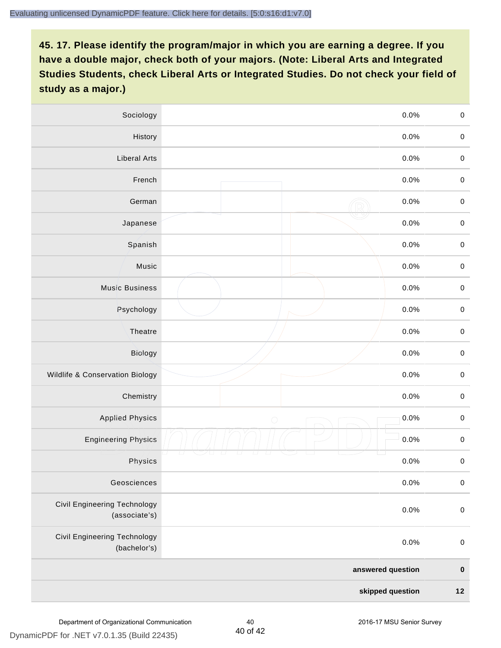| Sociology<br>0.0%                                   |                    | $\mathbf 0$         |
|-----------------------------------------------------|--------------------|---------------------|
| History                                             | 0.0%               | $\mathbf 0$         |
| <b>Liberal Arts</b>                                 | 0.0%               | $\mathbf 0$         |
| French                                              | 0.0%               | $\pmb{0}$           |
| German                                              | 0.0%               | $\mathbf 0$         |
| Japanese                                            | 0.0%               | $\mathbf 0$         |
| Spanish                                             | 0.0%               | $\mathbf 0$         |
| Music                                               | 0.0%               | $\mathbf 0$         |
| <b>Music Business</b>                               | 0.0%               | $\pmb{0}$           |
| Psychology                                          | 0.0%               | $\mathbf 0$         |
| Theatre                                             | 0.0%               | $\mathbf 0$         |
| Biology                                             | 0.0%               | $\mathbf 0$         |
| Wildlife & Conservation Biology                     | 0.0%               | $\mathbf 0$         |
| Chemistry                                           | 0.0%               | $\pmb{0}$           |
| <b>Applied Physics</b>                              | 0.0%<br>$\bigcirc$ | $\mathbf 0$         |
| <b>Engineering Physics</b>                          | 0.0%               | $\mathbf 0$         |
| Physics                                             | 0.0%               | $\mathsf{O}\xspace$ |
| Geosciences                                         | 0.0%               | $\mathbf 0$         |
| Civil Engineering Technology<br>(associate's)       | 0.0%               | $\pmb{0}$           |
| <b>Civil Engineering Technology</b><br>(bachelor's) | 0.0%               | $\mathbf 0$         |
| answered question                                   |                    | $\pmb{0}$           |
| skipped question                                    |                    |                     |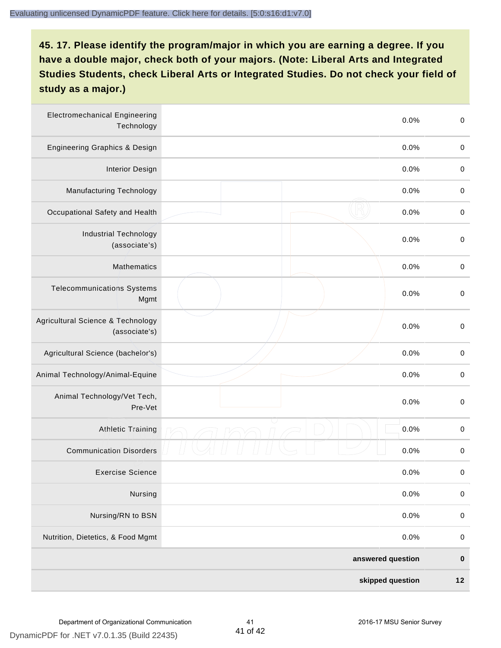| <b>Electromechanical Engineering</b><br>Technology |  | 0.0%              | $\mathbf 0$ |
|----------------------------------------------------|--|-------------------|-------------|
| <b>Engineering Graphics &amp; Design</b>           |  | 0.0%              | $\mathbf 0$ |
| <b>Interior Design</b>                             |  | 0.0%              | $\,0\,$     |
| Manufacturing Technology                           |  | 0.0%              | $\,0\,$     |
| Occupational Safety and Health                     |  | 0.0%              | $\pmb{0}$   |
| <b>Industrial Technology</b><br>(associate's)      |  | 0.0%              | $\,0\,$     |
| <b>Mathematics</b>                                 |  | 0.0%              | $\,0\,$     |
| <b>Telecommunications Systems</b><br>Mgmt          |  | 0.0%              | $\,0\,$     |
| Agricultural Science & Technology<br>(associate's) |  | 0.0%              | $\mathbf 0$ |
| Agricultural Science (bachelor's)                  |  | 0.0%              | $\mathbf 0$ |
| Animal Technology/Animal-Equine                    |  | 0.0%              | $\,0\,$     |
| Animal Technology/Vet Tech,<br>Pre-Vet             |  | 0.0%              | $\,0\,$     |
| Athletic Training                                  |  | 0.0%              | $\,0\,$     |
| <b>Communication Disorders</b>                     |  | 0.0%              | $\pmb{0}$   |
| <b>Exercise Science</b>                            |  | 0.0%              | $\pmb{0}$   |
| Nursing                                            |  | 0.0%              | $\mathbf 0$ |
| Nursing/RN to BSN                                  |  | 0.0%              | $\pmb{0}$   |
| Nutrition, Dietetics, & Food Mgmt                  |  | 0.0%              | $\,0\,$     |
|                                                    |  | answered question | $\pmb{0}$   |
| skipped question                                   |  |                   | $12$        |